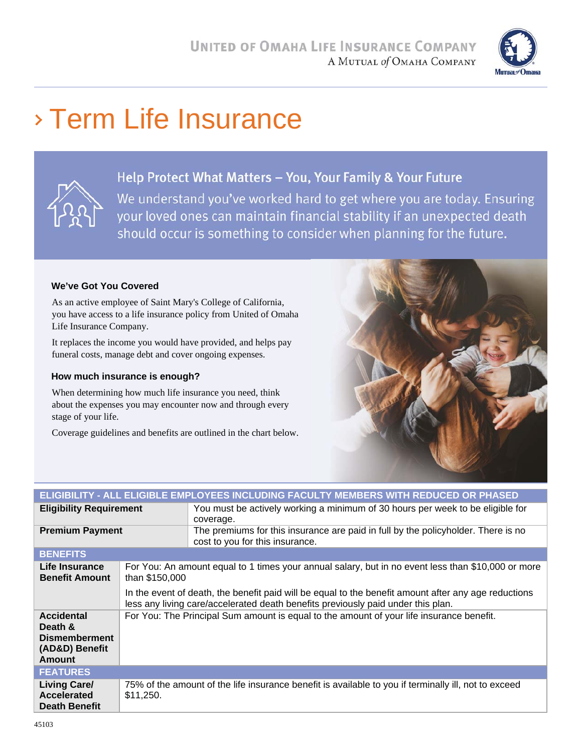

# Term Life Insurance



#### Help Protect What Matters - You, Your Family & Your Future

We understand you've worked hard to get where you are today. Ensuring your loved ones can maintain financial stability if an unexpected death should occur is something to consider when planning for the future.

#### **We've Got You Covered**

As an active employee of Saint Mary's College of California, you have access to a life insurance policy from United of Omaha Life Insurance Company.

It replaces the income you would have provided, and helps pay funeral costs, manage debt and cover ongoing expenses.

#### **How much insurance is enough?**

When determining how much life insurance you need, think about the expenses you may encounter now and through every stage of your life.

Coverage guidelines and benefits are outlined in the chart below.



| ELIGIBILITY - ALL ELIGIBLE EMPLOYEES INCLUDING FACULTY MEMBERS WITH REDUCED OR PHASED |                                                                                                                      |                                                                                                                                                                                          |  |
|---------------------------------------------------------------------------------------|----------------------------------------------------------------------------------------------------------------------|------------------------------------------------------------------------------------------------------------------------------------------------------------------------------------------|--|
| <b>Eligibility Requirement</b>                                                        |                                                                                                                      | You must be actively working a minimum of 30 hours per week to be eligible for<br>coverage.                                                                                              |  |
| <b>Premium Payment</b>                                                                |                                                                                                                      | The premiums for this insurance are paid in full by the policyholder. There is no<br>cost to you for this insurance.                                                                     |  |
| <b>BENEFITS</b>                                                                       |                                                                                                                      |                                                                                                                                                                                          |  |
| Life Insurance<br><b>Benefit Amount</b>                                               | For You: An amount equal to 1 times your annual salary, but in no event less than \$10,000 or more<br>than \$150,000 |                                                                                                                                                                                          |  |
|                                                                                       |                                                                                                                      | In the event of death, the benefit paid will be equal to the benefit amount after any age reductions<br>less any living care/accelerated death benefits previously paid under this plan. |  |
| <b>Accidental</b><br>Death &<br><b>Dismemberment</b><br>(AD&D) Benefit<br>Amount      | For You: The Principal Sum amount is equal to the amount of your life insurance benefit.                             |                                                                                                                                                                                          |  |
| <b>FEATURES</b>                                                                       |                                                                                                                      |                                                                                                                                                                                          |  |
| <b>Living Care/</b><br>Accelerated<br><b>Death Benefit</b>                            | \$11,250.                                                                                                            | 75% of the amount of the life insurance benefit is available to you if terminally ill, not to exceed                                                                                     |  |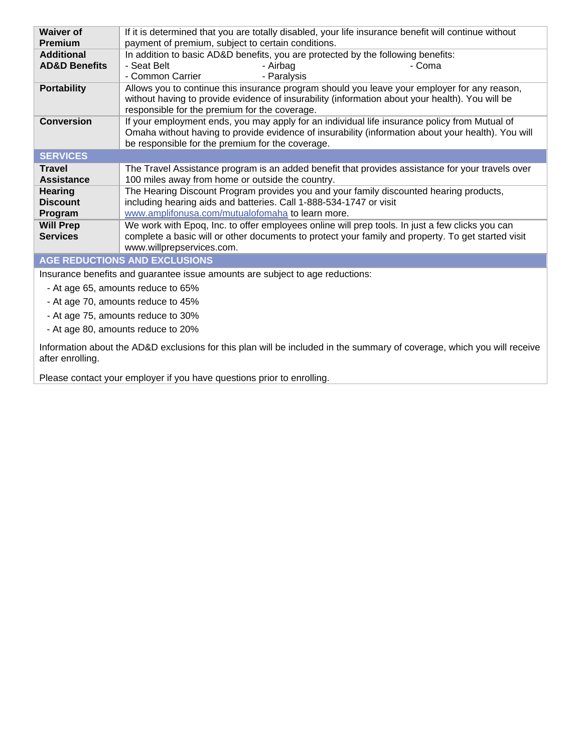| <b>Waiver of</b><br><b>Premium</b>   | If it is determined that you are totally disabled, your life insurance benefit will continue without<br>payment of premium, subject to certain conditions.                                                                                              |  |  |  |
|--------------------------------------|---------------------------------------------------------------------------------------------------------------------------------------------------------------------------------------------------------------------------------------------------------|--|--|--|
| <b>Additional</b>                    | In addition to basic AD&D benefits, you are protected by the following benefits:                                                                                                                                                                        |  |  |  |
| <b>AD&amp;D Benefits</b>             | - Seat Belt<br>- Airbag<br>- Coma                                                                                                                                                                                                                       |  |  |  |
|                                      | - Common Carrier<br>- Paralysis                                                                                                                                                                                                                         |  |  |  |
| <b>Portability</b>                   | Allows you to continue this insurance program should you leave your employer for any reason,<br>without having to provide evidence of insurability (information about your health). You will be<br>responsible for the premium for the coverage.        |  |  |  |
| <b>Conversion</b>                    | If your employment ends, you may apply for an individual life insurance policy from Mutual of<br>Omaha without having to provide evidence of insurability (information about your health). You will<br>be responsible for the premium for the coverage. |  |  |  |
| <b>SERVICES</b>                      |                                                                                                                                                                                                                                                         |  |  |  |
| <b>Travel</b>                        | The Travel Assistance program is an added benefit that provides assistance for your travels over                                                                                                                                                        |  |  |  |
| <b>Assistance</b>                    | 100 miles away from home or outside the country.                                                                                                                                                                                                        |  |  |  |
| <b>Hearing</b>                       | The Hearing Discount Program provides you and your family discounted hearing products,                                                                                                                                                                  |  |  |  |
| <b>Discount</b>                      | including hearing aids and batteries. Call 1-888-534-1747 or visit                                                                                                                                                                                      |  |  |  |
| Program                              | www.amplifonusa.com/mutualofomaha to learn more.                                                                                                                                                                                                        |  |  |  |
| <b>Will Prep</b>                     | We work with Epoq, Inc. to offer employees online will prep tools. In just a few clicks you can                                                                                                                                                         |  |  |  |
| <b>Services</b>                      | complete a basic will or other documents to protect your family and property. To get started visit<br>www.willprepservices.com.                                                                                                                         |  |  |  |
| <b>AGE REDUCTIONS AND EXCLUSIONS</b> |                                                                                                                                                                                                                                                         |  |  |  |
|                                      | Insurance benefits and guarantee issue amounts are subject to age reductions:                                                                                                                                                                           |  |  |  |

- At age 65, amounts reduce to 65%

- At age 70, amounts reduce to 45%

- At age 75, amounts reduce to 30%

- At age 80, amounts reduce to 20%

Information about the AD&D exclusions for this plan will be included in the summary of coverage, which you will receive after enrolling.

Please contact your employer if you have questions prior to enrolling.